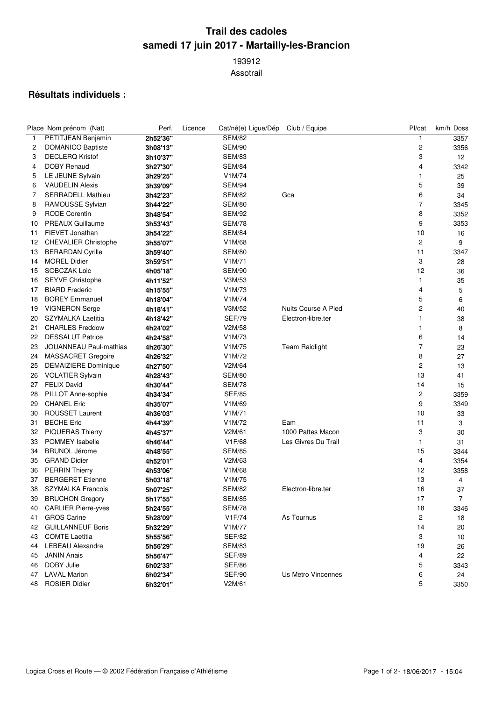## **Trail des cadoles samedi 17 juin 2017 - Martailly-les-Brancion**

 Assotrail

## **Résultats individuels :**

|    | Place Nom prénom (Nat)        | Perf.    | Licence | Cat/né(e) Ligue/Dép | Club / Equipe         | Pl/cat                  | km/h Doss   |
|----|-------------------------------|----------|---------|---------------------|-----------------------|-------------------------|-------------|
| 1  | <b>PETITJEAN Benjamin</b>     | 2h52'36" |         | <b>SEM/82</b>       |                       | 1                       | 3357        |
| 2  | <b>DOMANICO Baptiste</b>      | 3h08'13" |         | <b>SEM/90</b>       |                       | $\overline{c}$          | 3356        |
| 3  | <b>DECLERQ Kristof</b>        | 3h10'37" |         | <b>SEM/83</b>       |                       | 3                       | 12          |
| 4  | <b>DOBY Renaud</b>            | 3h27'30" |         | <b>SEM/84</b>       |                       | 4                       | 3342        |
| 5  | LE JEUNE Sylvain              | 3h29'25" |         | V1M/74              |                       | 1                       | 25          |
| 6  | <b>VAUDELIN Alexis</b>        | 3h39'09" |         | <b>SEM/94</b>       |                       | 5                       | 39          |
| 7  | <b>SERRADELL Mathieu</b>      | 3h42'23" |         | <b>SEM/82</b>       | Gca                   | 6                       | 34          |
| 8  | RAMOUSSE Sylvian              | 3h44'22" |         | SEM/80              |                       | $\overline{7}$          | 3345        |
| 9  | <b>RODE Corentin</b>          | 3h48'54" |         | <b>SEM/92</b>       |                       | 8                       | 3352        |
| 10 | <b>PREAUX Guillaume</b>       | 3h53'43" |         | <b>SEM/78</b>       |                       | 9                       | 3353        |
| 11 | FIEVET Jonathan               | 3h54'22" |         | <b>SEM/84</b>       |                       | 10                      | 16          |
| 12 | <b>CHEVALIER Christophe</b>   | 3h55'07" |         | V1M/68              |                       | $\overline{c}$          | 9           |
| 13 | <b>BERARDAN Cyrille</b>       | 3h59'40" |         | <b>SEM/80</b>       |                       | 11                      | 3347        |
| 14 | <b>MOREL Didier</b>           | 3h59'51" |         | V1M/71              |                       | 3                       | 28          |
| 15 | SOBCZAK Loic                  | 4h05'18" |         | SEM/90              |                       | 12                      | 36          |
| 16 | <b>SEYVE Christophe</b>       | 4h11'52" |         | V3M/53              |                       | $\mathbf{1}$            | 35          |
| 17 | <b>BIARD</b> Frederic         | 4h15'55" |         | V1M/73              |                       | 4                       | 5           |
| 18 | <b>BOREY Emmanuel</b>         | 4h18'04" |         | V1M/74              |                       | 5                       | 6           |
| 19 | <b>VIGNERON Serge</b>         | 4h18'41" |         | V3M/52              | Nuits Course A Pied   | $\mathbf 2$             | 40          |
| 20 | SZYMALKA Laetitia             | 4h18'42" |         | <b>SEF/79</b>       | Electron-libre.ter    | 1                       | 38          |
| 21 | <b>CHARLES Freddow</b>        | 4h24'02" |         | V2M/58              |                       | 1                       | 8           |
| 22 | <b>DESSALUT Patrice</b>       | 4h24'58" |         | V1M/73              |                       | 6                       | 14          |
| 23 | <b>JOUANNEAU Paul-mathias</b> | 4h26'30" |         | V1M/75              | <b>Team Raidlight</b> | $\overline{7}$          | 23          |
| 24 | MASSACRET Gregoire            | 4h26'32" |         | V1M/72              |                       | 8                       | 27          |
| 25 | <b>DEMAIZIERE Dominique</b>   | 4h27'50" |         | V2M/64              |                       | $\overline{\mathbf{c}}$ | 13          |
| 26 | VOLATIER Sylvain              | 4h28'43" |         | <b>SEM/80</b>       |                       | 13                      | 41          |
| 27 | <b>FELIX David</b>            | 4h30'44" |         | <b>SEM/78</b>       |                       | 14                      | 15          |
| 28 | PILLOT Anne-sophie            | 4h34'34" |         | <b>SEF/85</b>       |                       | 2                       | 3359        |
| 29 | <b>CHANEL Eric</b>            | 4h35'07" |         | V1M/69              |                       | 9                       | 3349        |
| 30 | <b>ROUSSET Laurent</b>        | 4h36'03" |         | V <sub>1</sub> M/71 |                       | 10                      | 33          |
| 31 | <b>BECHE Eric</b>             | 4h44'39" |         | V1M/72              | Eam                   | 11                      | 3           |
| 32 | <b>PIQUERAS Thierry</b>       | 4h45'37" |         | V2M/61              | 1000 Pattes Macon     | 3                       | 30          |
| 33 | <b>POMMEY Isabelle</b>        | 4h46'44" |         | V1F/68              | Les Givres Du Trail   | 1                       | 31          |
| 34 | <b>BRUNOL Jérome</b>          | 4h48'55" |         | <b>SEM/85</b>       |                       | 15                      | 3344        |
| 35 | <b>GRAND Didier</b>           | 4h52'01" |         | V2M/63              |                       | 4                       | 3354        |
| 36 | <b>PERRIN Thierry</b>         | 4h53'06" |         | V1M/68              |                       | 12                      | 3358        |
| 37 | <b>BERGERET Etienne</b>       | 5h03'18" |         | V1M/75              |                       | 13                      | 4           |
| 38 | <b>SZYMALKA Francois</b>      | 5h07'25" |         | <b>SEM/82</b>       | Electron-libre.ter    | 16                      | 37          |
| 39 | <b>BRUCHON Gregory</b>        | 5h17'55" |         | <b>SEM/85</b>       |                       | 17                      | $7^{\circ}$ |
| 40 | <b>CARLIER Pierre-yves</b>    | 5h24'55" |         | <b>SEM/78</b>       |                       | 18                      | 3346        |
| 41 | <b>GROS Carine</b>            | 5h28'09" |         | V1F/74              | As Tournus            | 2                       | 18          |
| 42 | <b>GUILLANNEUF Boris</b>      | 5h32'29" |         | V1M/77              |                       | 14                      | 20          |
| 43 | <b>COMTE Laetitia</b>         | 5h55'56" |         | <b>SEF/82</b>       |                       | 3                       | 10          |
| 44 | <b>LEBEAU Alexandre</b>       | 5h56'29" |         | <b>SEM/83</b>       |                       | 19                      | 26          |
| 45 | <b>JANIN Anais</b>            | 5h56'47" |         | <b>SEF/89</b>       |                       | 4                       | 22          |
| 46 | DOBY Julie                    | 6h02'33" |         | <b>SEF/86</b>       |                       | 5                       | 3343        |
| 47 | <b>LAVAL Marion</b>           | 6h02'34" |         | <b>SEF/90</b>       | Us Metro Vincennes    | 6                       | 24          |
| 48 | <b>ROSIER Didier</b>          | 6h32'01" |         | V2M/61              |                       | 5                       | 3350        |